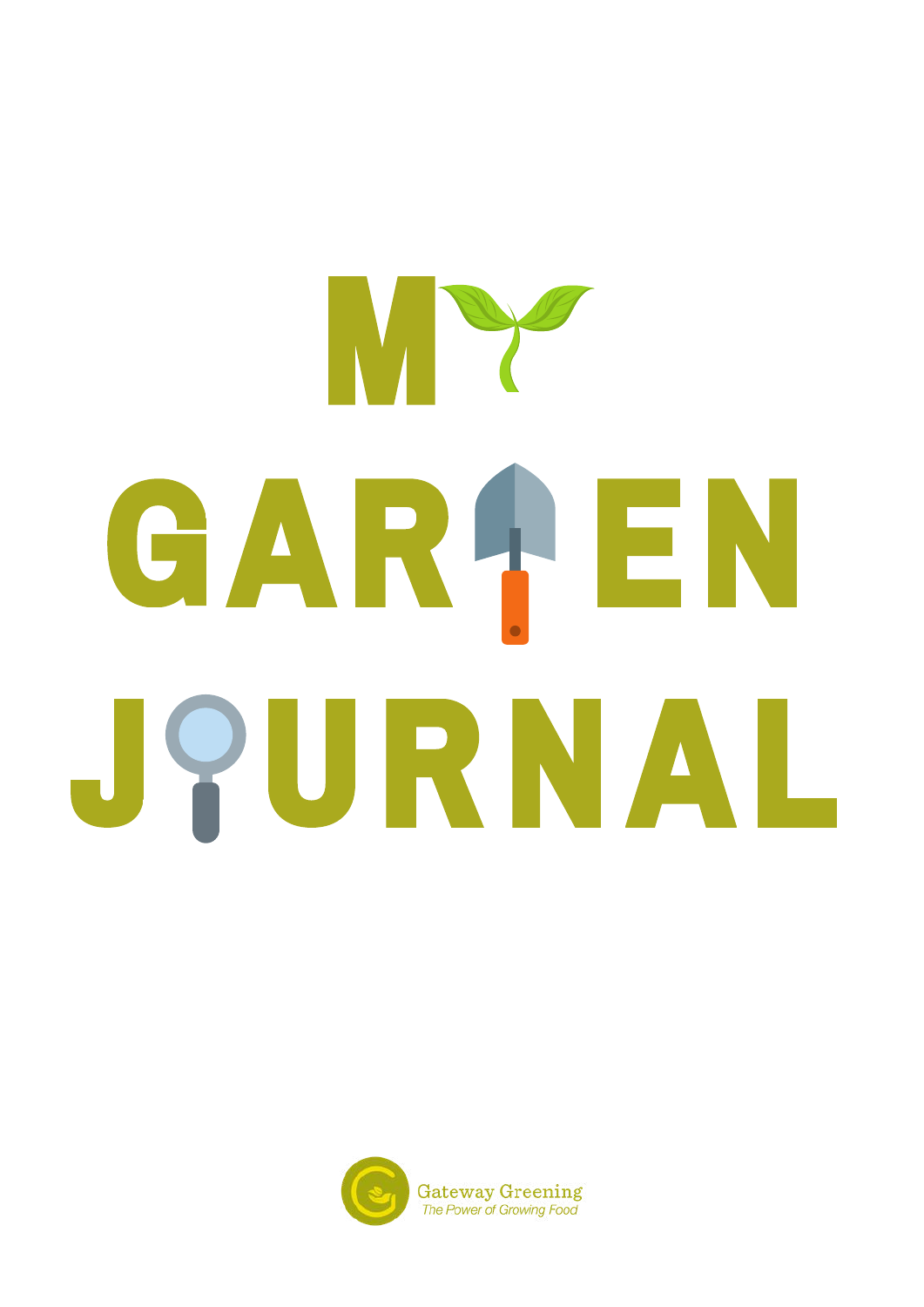# W. W. Harrison essay on love. What does it means to your development of the state of the state of the state of the state of the state of the  $\mathbf{y}$  definition of  $\mathbf{y}$ GARAEN JPURNAL

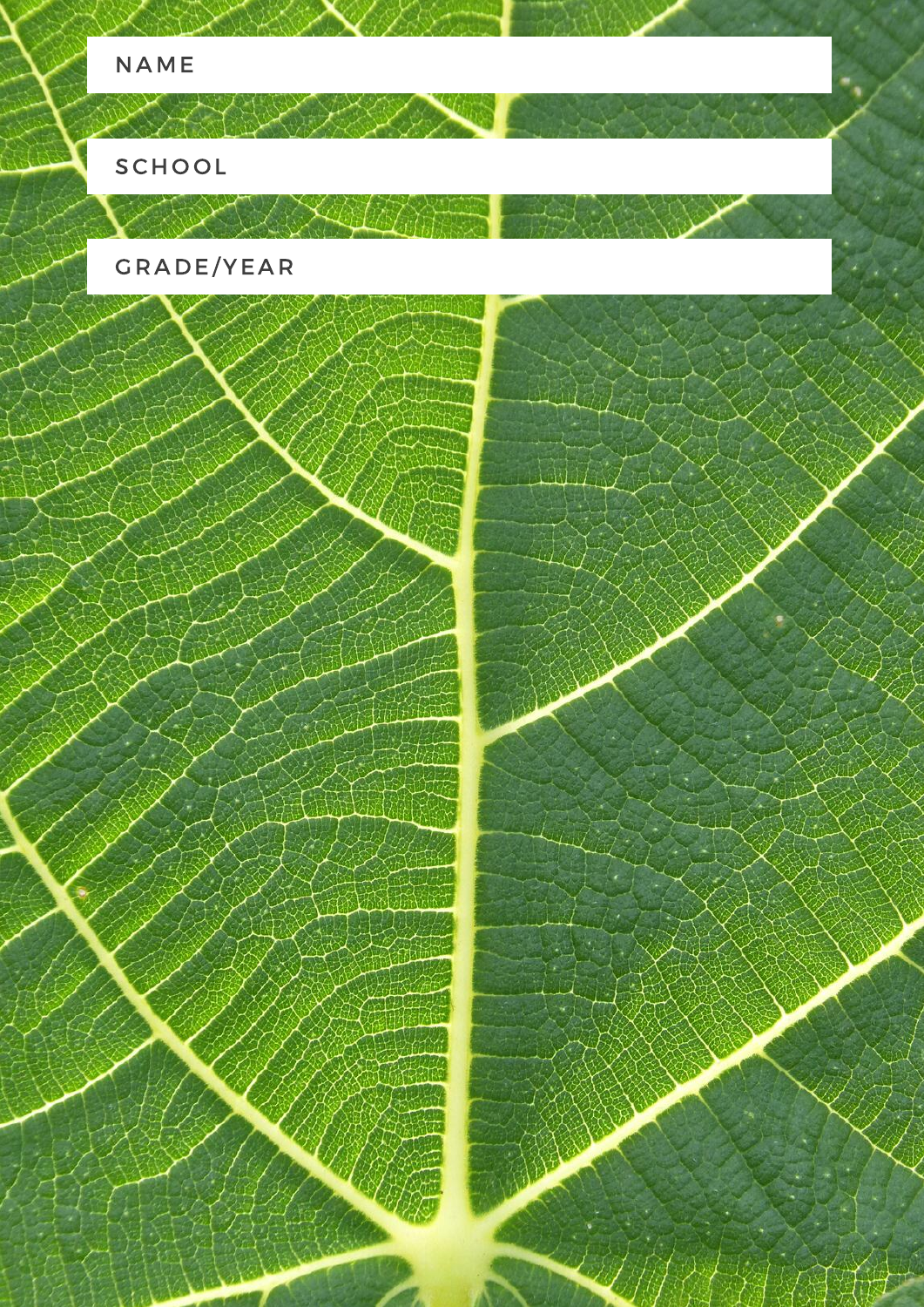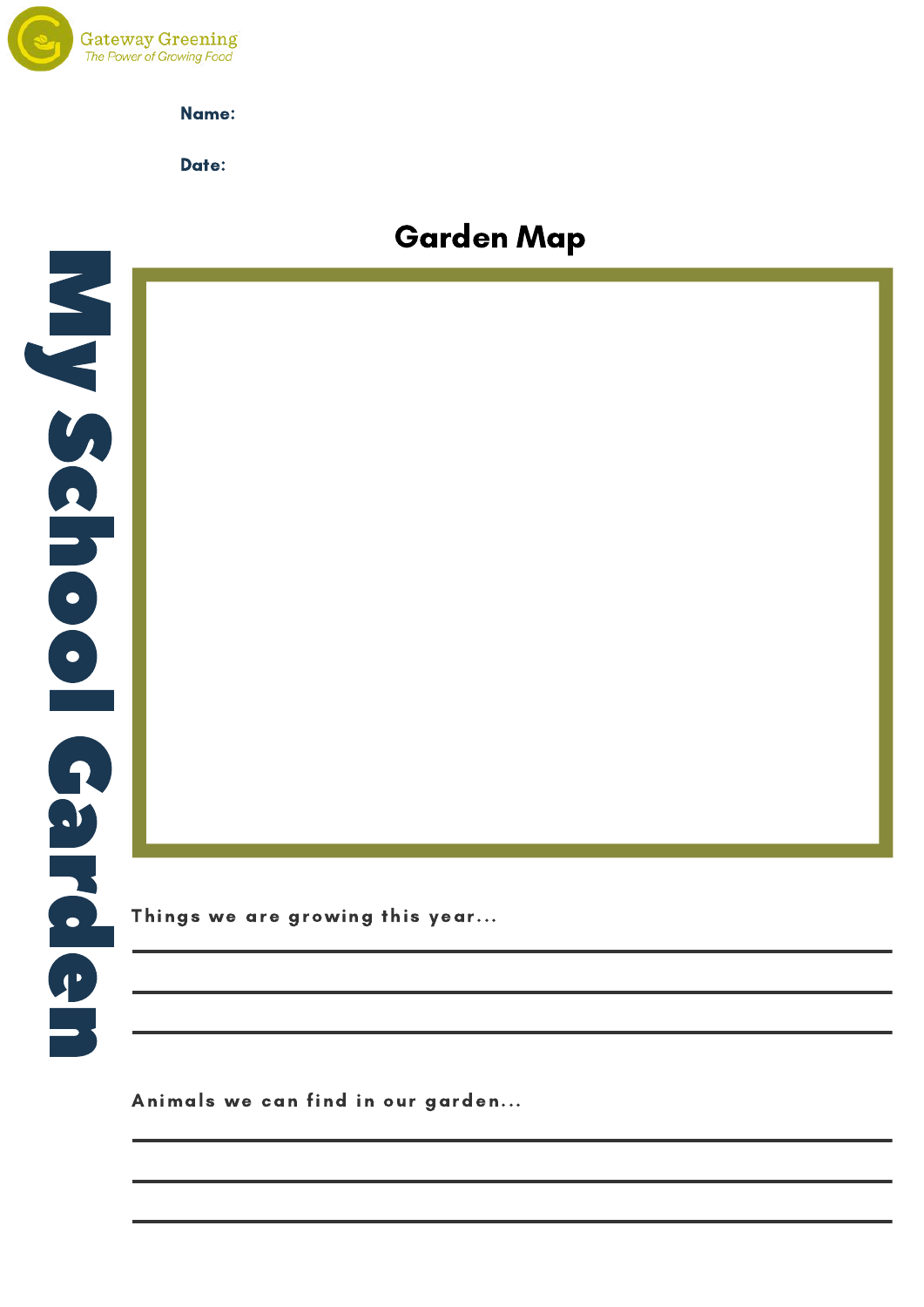

Date:

### Garden Map



Things we are growing this year...

Animals we can find in our garden...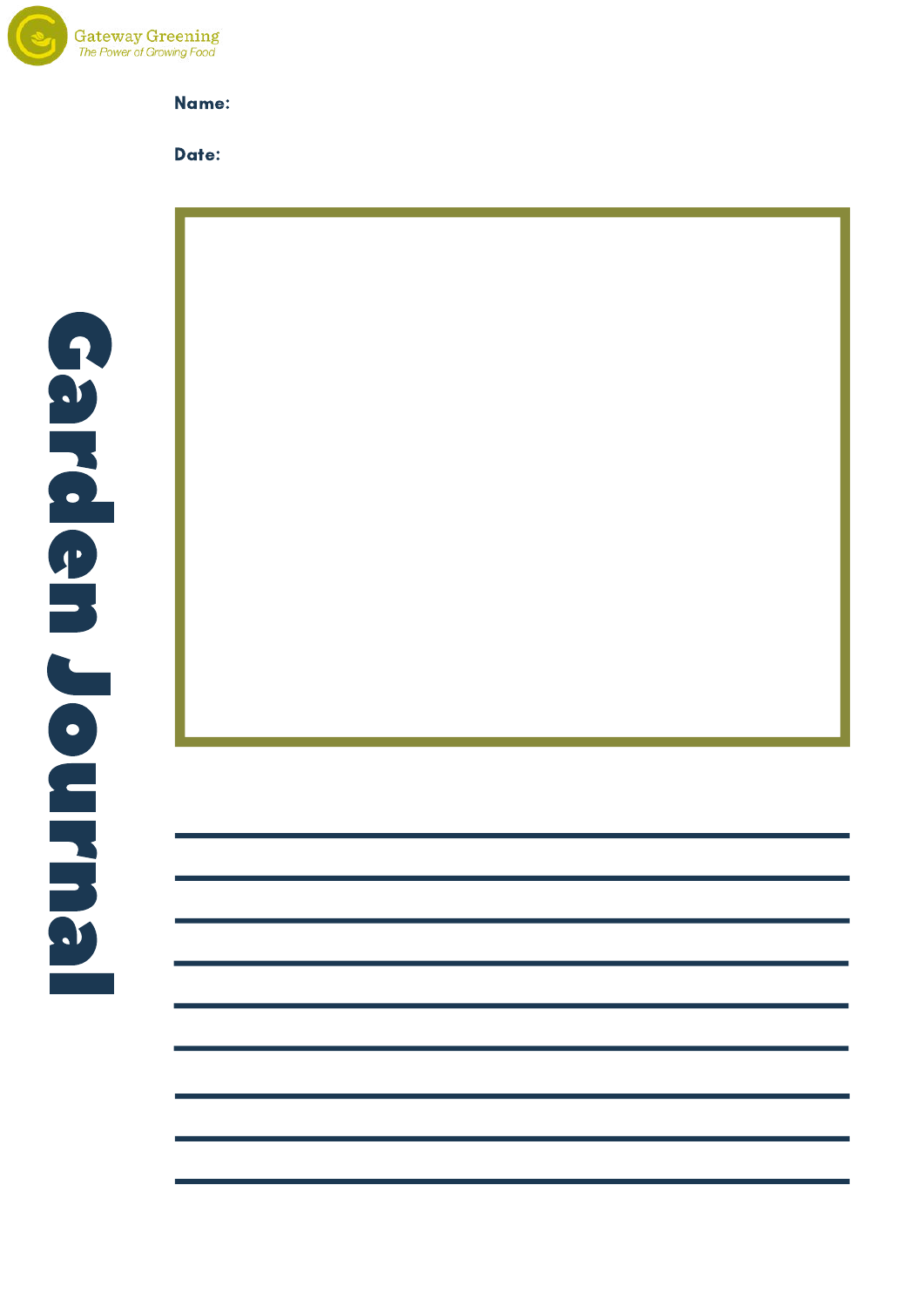

#### Date:

CATEGORY: DEFINITION OF THE CATEGORY OF THE CATEGORY OF THE CATEGORY OF THE CATEGORY OF THE CATEGORY OF THE CA<br>The category of the category of the category of the category of the category of the category of the category of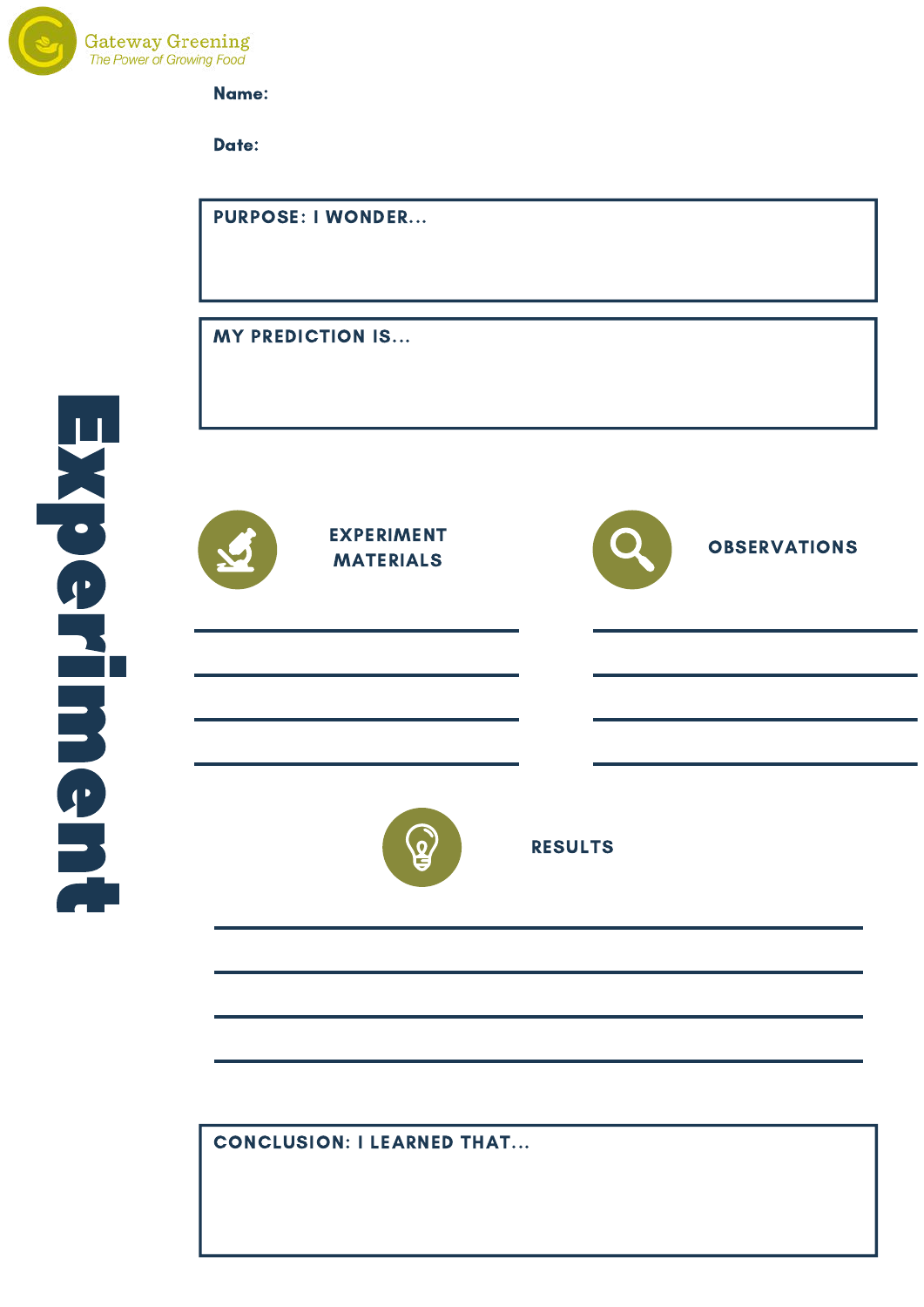

Date:



CONCLUSION: I LEARNED THAT...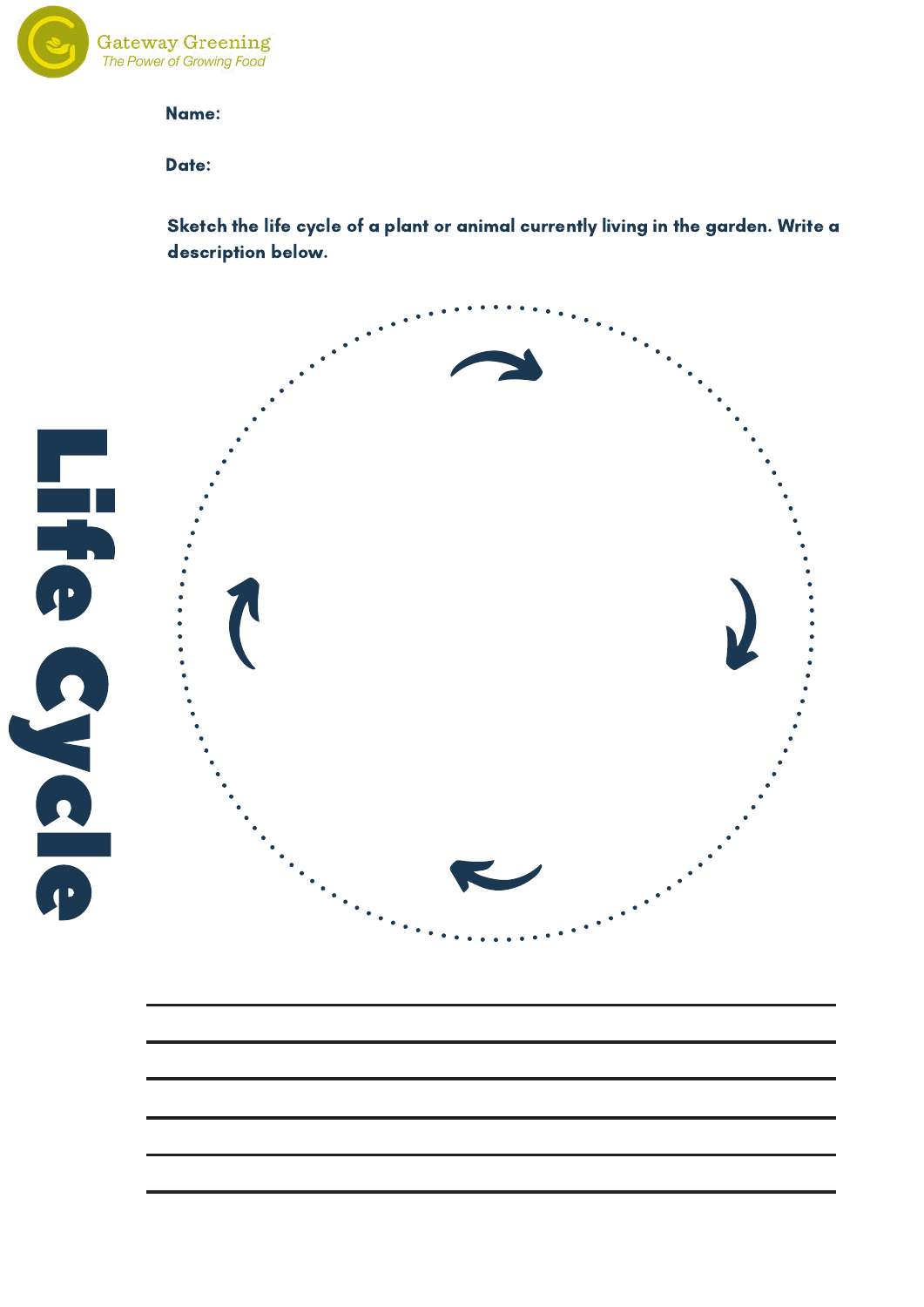

Date:

Sketch the life cycle of a plant or animal currently living in the garden. Write a<br>Unity in the late of a plant or animal currently living in the garden. Write a description below.

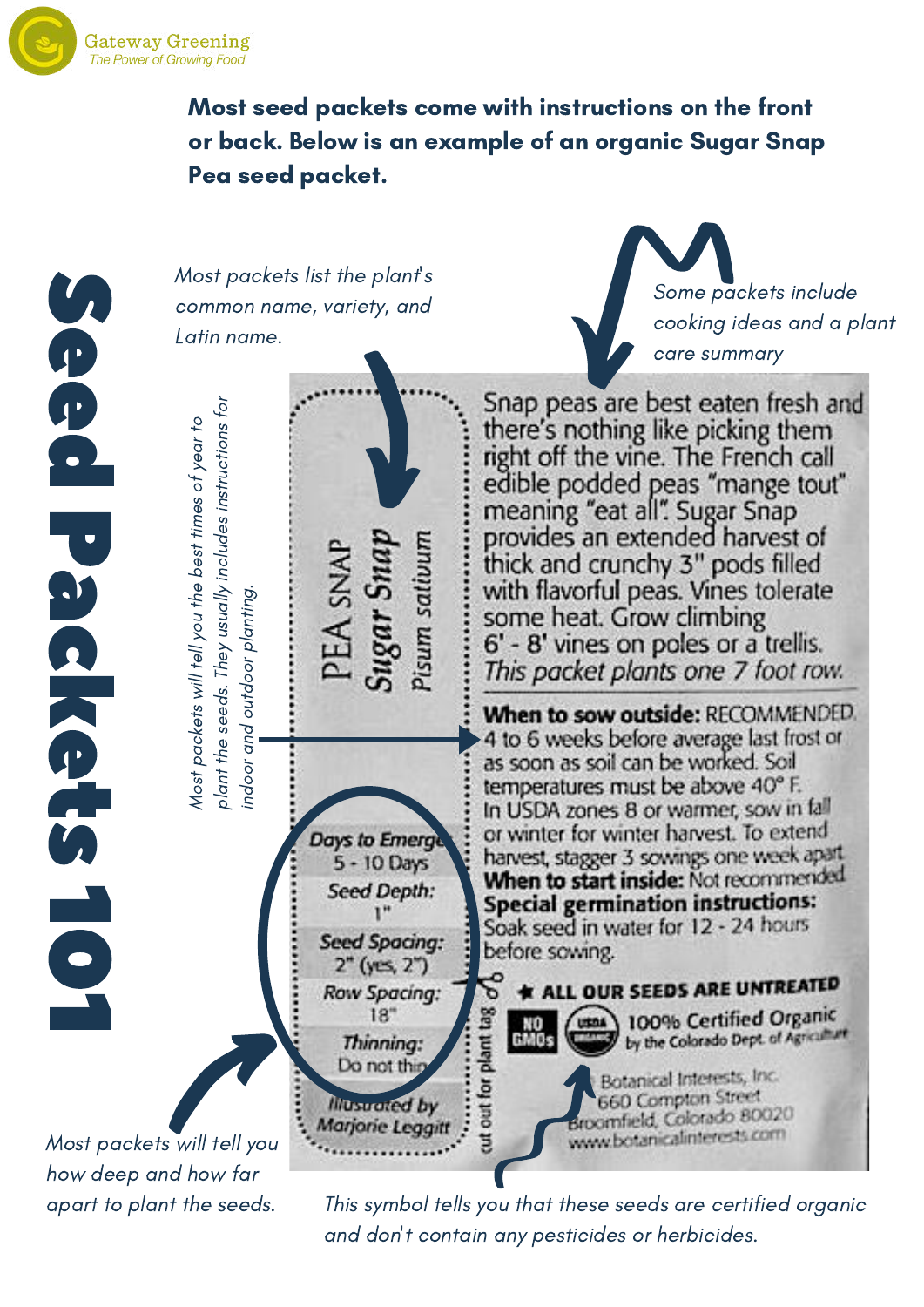Most seed packets come with instructions on the front or back. Below is an example of an organic Sugar Snap Pea seed packet.

**S e e o** P a **n** k **e the set SA**  $\overline{\phantom{0}}$ 0  $\overline{\phantom{0}}$ 

Most packets list the plant's common name, variety, and Latin name.



Snap peas are best eaten fresh and ns for there's nothing like picking them ar to ctio right off the vine. The French call es of ye edible podded peas "mange tout" clu des instru meaning "eat all". Sugar Snap best tim provides an extended harvest of isum sativun EA SNAI thick and crunchy 3" pods filled ally in with flavorful peas. Vines tolerate ost p ackets will tell yo u th eg.ntin some heat. Grow climbing usu outd oor pla 6' - 8' vines on poles or a trellis.  $\widehat{\circ}$ This packet plants one 7 foot row. nt th e se eds. Th When to sow outside: RECOMMENDED. in door a nd4 to 6 weeks before average last frost or  $\overline{a}$ as soon as soil can be worked. Soil temperatures must be above 40° F. pla MIn USDA zones 8 or warmer, sow in fall or winter for winter harvest. To extend **Days to Emerge** harvest, stagger 3 sowings one week apart 5 - 10 Days When to start inside: Not recommended **Seed Depth: Special germination instructions:**  $1"$ Soak seed in water for 12 - 24 hours **Seed Spacing:** before sowing.  $2"$  (yes,  $2"$ ) \* ALL OUR SEEDS ARE UNTREATED **Row Spacing:** 100% Certified Organic 18" ut out for plant tag NO<br>GMCs by the Colorado Dept. of Agriculture Thinning: Do not this Botanical Interests, Inc. 660 Compton Street **Illustrated by** Broomfield, Colorado 80020 Marjorie Leggitt www.botanicalinterests.com

Most packets will tell you how deep and how far

apart to plant the seeds. This symbol tells you that these seeds are certified organic and don't contain any pesticides or herbicides.